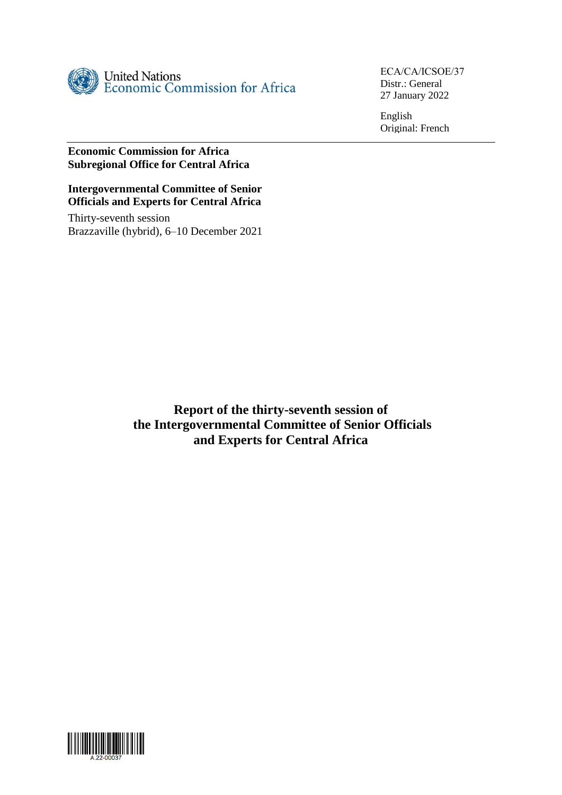

ECA/CA/ICSOE/37 Distr.: General 27 January 2022

English Original: French

## **Economic Commission for Africa Subregional Office for Central Africa**

### **Intergovernmental Committee of Senior Officials and Experts for Central Africa**

Thirty-seventh session Brazzaville (hybrid), 6–10 December 2021

> **Report of the thirty-seventh session of the Intergovernmental Committee of Senior Officials and Experts for Central Africa**

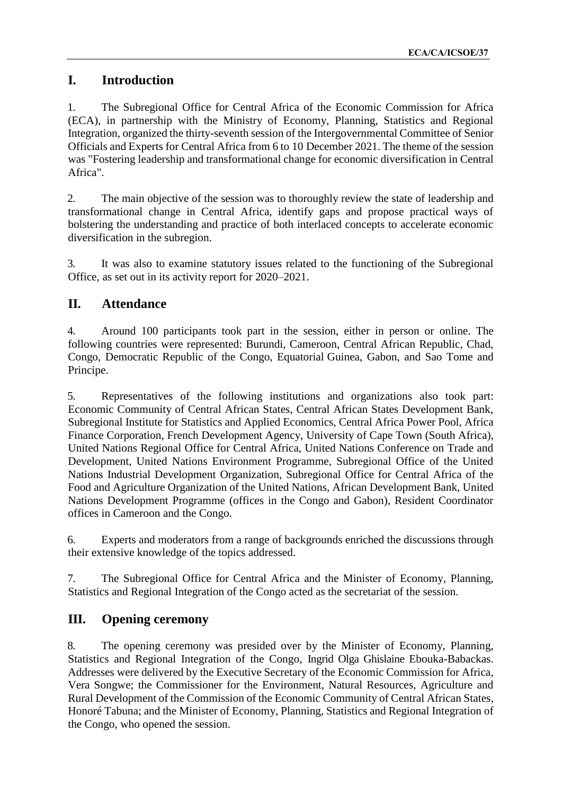# **I. Introduction**

1. The Subregional Office for Central Africa of the Economic Commission for Africa (ECA), in partnership with the Ministry of Economy, Planning, Statistics and Regional Integration, organized the thirty-seventh session of the Intergovernmental Committee of Senior Officials and Experts for Central Africa from 6 to 10 December 2021. The theme of the session was "Fostering leadership and transformational change for economic diversification in Central Africa".

2. The main objective of the session was to thoroughly review the state of leadership and transformational change in Central Africa, identify gaps and propose practical ways of bolstering the understanding and practice of both interlaced concepts to accelerate economic diversification in the subregion.

3. It was also to examine statutory issues related to the functioning of the Subregional Office, as set out in its activity report for 2020–2021.

# **II. Attendance**

4. Around 100 participants took part in the session, either in person or online. The following countries were represented: Burundi, Cameroon, Central African Republic, Chad, Congo, Democratic Republic of the Congo, Equatorial Guinea, Gabon, and Sao Tome and Principe.

5. Representatives of the following institutions and organizations also took part: Economic Community of Central African States, Central African States Development Bank, Subregional Institute for Statistics and Applied Economics, Central Africa Power Pool, Africa Finance Corporation, French Development Agency, University of Cape Town (South Africa), United Nations Regional Office for Central Africa, United Nations Conference on Trade and Development, United Nations Environment Programme, Subregional Office of the United Nations Industrial Development Organization, Subregional Office for Central Africa of the Food and Agriculture Organization of the United Nations, African Development Bank, United Nations Development Programme (offices in the Congo and Gabon), Resident Coordinator offices in Cameroon and the Congo.

6. Experts and moderators from a range of backgrounds enriched the discussions through their extensive knowledge of the topics addressed.

7. The Subregional Office for Central Africa and the Minister of Economy, Planning, Statistics and Regional Integration of the Congo acted as the secretariat of the session.

## **III. Opening ceremony**

8. The opening ceremony was presided over by the Minister of Economy, Planning, Statistics and Regional Integration of the Congo, Ingrid Olga Ghislaine Ebouka-Babackas. Addresses were delivered by the Executive Secretary of the Economic Commission for Africa, Vera Songwe; the Commissioner for the Environment, Natural Resources, Agriculture and Rural Development of the Commission of the Economic Community of Central African States, Honoré Tabuna; and the Minister of Economy, Planning, Statistics and Regional Integration of the Congo, who opened the session.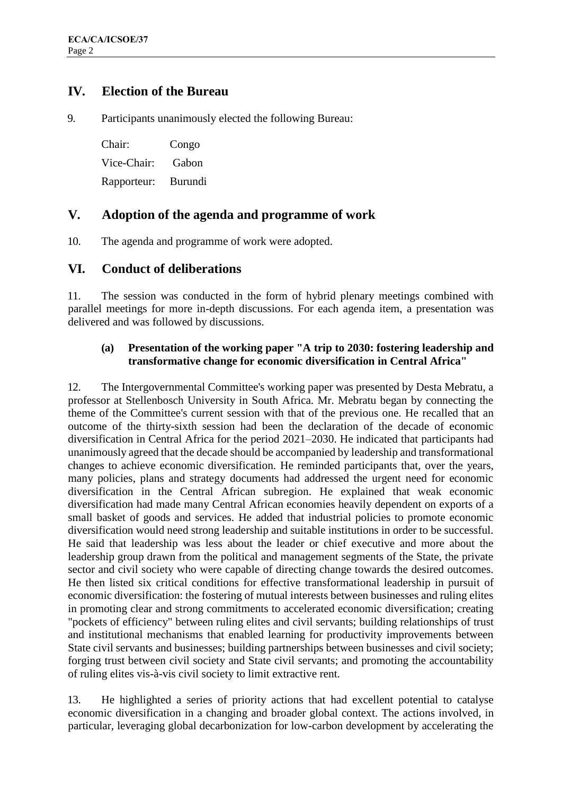## **IV. Election of the Bureau**

9. Participants unanimously elected the following Bureau:

Chair: Congo Vice-Chair: Gabon Rapporteur: Burundi

## **V. Adoption of the agenda and programme of work**

10. The agenda and programme of work were adopted.

## **VI. Conduct of deliberations**

11. The session was conducted in the form of hybrid plenary meetings combined with parallel meetings for more in-depth discussions. For each agenda item, a presentation was delivered and was followed by discussions.

### **(a) Presentation of the working paper "A trip to 2030: fostering leadership and transformative change for economic diversification in Central Africa"**

12. The Intergovernmental Committee's working paper was presented by Desta Mebratu, a professor at Stellenbosch University in South Africa. Mr. Mebratu began by connecting the theme of the Committee's current session with that of the previous one. He recalled that an outcome of the thirty-sixth session had been the declaration of the decade of economic diversification in Central Africa for the period 2021–2030. He indicated that participants had unanimously agreed that the decade should be accompanied by leadership and transformational changes to achieve economic diversification. He reminded participants that, over the years, many policies, plans and strategy documents had addressed the urgent need for economic diversification in the Central African subregion. He explained that weak economic diversification had made many Central African economies heavily dependent on exports of a small basket of goods and services. He added that industrial policies to promote economic diversification would need strong leadership and suitable institutions in order to be successful. He said that leadership was less about the leader or chief executive and more about the leadership group drawn from the political and management segments of the State, the private sector and civil society who were capable of directing change towards the desired outcomes. He then listed six critical conditions for effective transformational leadership in pursuit of economic diversification: the fostering of mutual interests between businesses and ruling elites in promoting clear and strong commitments to accelerated economic diversification; creating "pockets of efficiency" between ruling elites and civil servants; building relationships of trust and institutional mechanisms that enabled learning for productivity improvements between State civil servants and businesses; building partnerships between businesses and civil society; forging trust between civil society and State civil servants; and promoting the accountability of ruling elites vis-à-vis civil society to limit extractive rent.

13. He highlighted a series of priority actions that had excellent potential to catalyse economic diversification in a changing and broader global context. The actions involved, in particular, leveraging global decarbonization for low-carbon development by accelerating the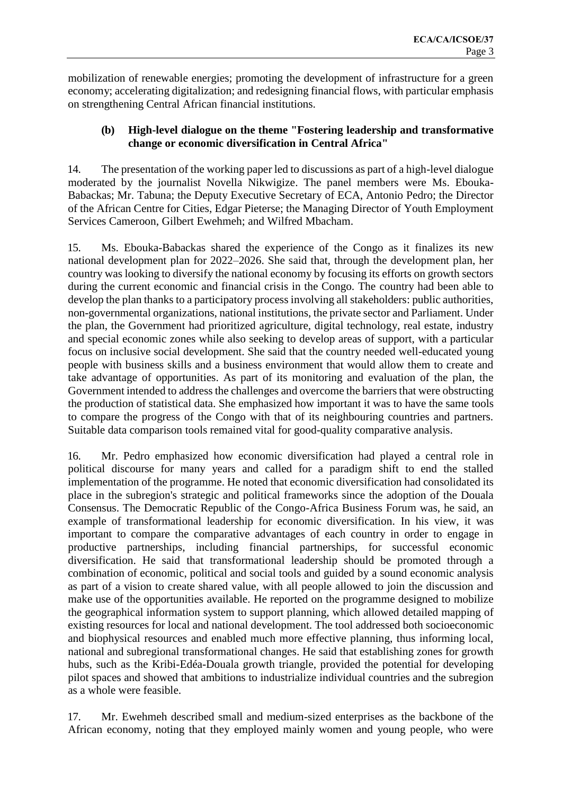mobilization of renewable energies; promoting the development of infrastructure for a green economy; accelerating digitalization; and redesigning financial flows, with particular emphasis on strengthening Central African financial institutions.

### **(b) High-level dialogue on the theme "Fostering leadership and transformative change or economic diversification in Central Africa"**

14. The presentation of the working paper led to discussions as part of a high-level dialogue moderated by the journalist Novella Nikwigize. The panel members were Ms. Ebouka-Babackas; Mr. Tabuna; the Deputy Executive Secretary of ECA, Antonio Pedro; the Director of the African Centre for Cities, Edgar Pieterse; the Managing Director of Youth Employment Services Cameroon, Gilbert Ewehmeh; and Wilfred Mbacham.

15. Ms. Ebouka-Babackas shared the experience of the Congo as it finalizes its new national development plan for 2022–2026. She said that, through the development plan, her country was looking to diversify the national economy by focusing its efforts on growth sectors during the current economic and financial crisis in the Congo. The country had been able to develop the plan thanks to a participatory process involving all stakeholders: public authorities, non-governmental organizations, national institutions, the private sector and Parliament. Under the plan, the Government had prioritized agriculture, digital technology, real estate, industry and special economic zones while also seeking to develop areas of support, with a particular focus on inclusive social development. She said that the country needed well-educated young people with business skills and a business environment that would allow them to create and take advantage of opportunities. As part of its monitoring and evaluation of the plan, the Government intended to address the challenges and overcome the barriers that were obstructing the production of statistical data. She emphasized how important it was to have the same tools to compare the progress of the Congo with that of its neighbouring countries and partners. Suitable data comparison tools remained vital for good-quality comparative analysis.

16. Mr. Pedro emphasized how economic diversification had played a central role in political discourse for many years and called for a paradigm shift to end the stalled implementation of the programme. He noted that economic diversification had consolidated its place in the subregion's strategic and political frameworks since the adoption of the Douala Consensus. The Democratic Republic of the Congo-Africa Business Forum was, he said, an example of transformational leadership for economic diversification. In his view, it was important to compare the comparative advantages of each country in order to engage in productive partnerships, including financial partnerships, for successful economic diversification. He said that transformational leadership should be promoted through a combination of economic, political and social tools and guided by a sound economic analysis as part of a vision to create shared value, with all people allowed to join the discussion and make use of the opportunities available. He reported on the programme designed to mobilize the geographical information system to support planning, which allowed detailed mapping of existing resources for local and national development. The tool addressed both socioeconomic and biophysical resources and enabled much more effective planning, thus informing local, national and subregional transformational changes. He said that establishing zones for growth hubs, such as the Kribi-Edéa-Douala growth triangle, provided the potential for developing pilot spaces and showed that ambitions to industrialize individual countries and the subregion as a whole were feasible.

17. Mr. Ewehmeh described small and medium-sized enterprises as the backbone of the African economy, noting that they employed mainly women and young people, who were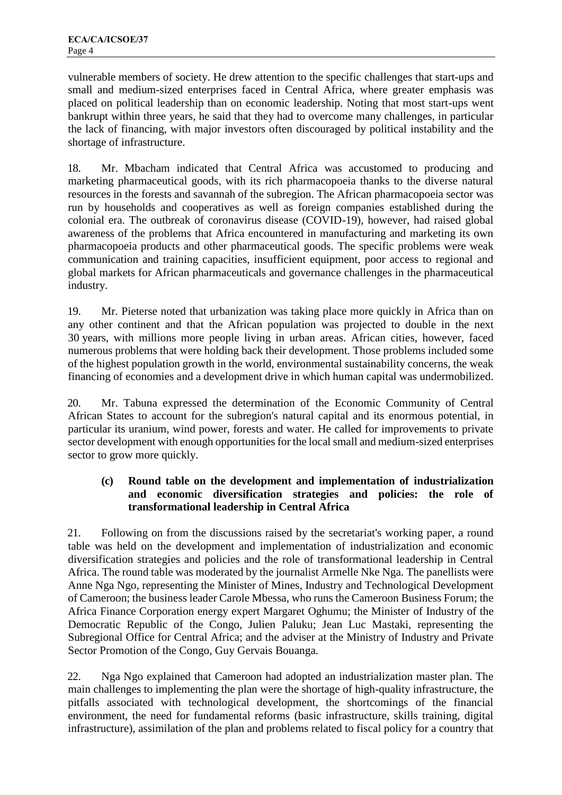vulnerable members of society. He drew attention to the specific challenges that start-ups and small and medium-sized enterprises faced in Central Africa, where greater emphasis was placed on political leadership than on economic leadership. Noting that most start-ups went bankrupt within three years, he said that they had to overcome many challenges, in particular the lack of financing, with major investors often discouraged by political instability and the shortage of infrastructure.

18. Mr. Mbacham indicated that Central Africa was accustomed to producing and marketing pharmaceutical goods, with its rich pharmacopoeia thanks to the diverse natural resources in the forests and savannah of the subregion. The African pharmacopoeia sector was run by households and cooperatives as well as foreign companies established during the colonial era. The outbreak of coronavirus disease (COVID-19), however, had raised global awareness of the problems that Africa encountered in manufacturing and marketing its own pharmacopoeia products and other pharmaceutical goods. The specific problems were weak communication and training capacities, insufficient equipment, poor access to regional and global markets for African pharmaceuticals and governance challenges in the pharmaceutical industry.

19. Mr. Pieterse noted that urbanization was taking place more quickly in Africa than on any other continent and that the African population was projected to double in the next 30 years, with millions more people living in urban areas. African cities, however, faced numerous problems that were holding back their development. Those problems included some of the highest population growth in the world, environmental sustainability concerns, the weak financing of economies and a development drive in which human capital was undermobilized.

20. Mr. Tabuna expressed the determination of the Economic Community of Central African States to account for the subregion's natural capital and its enormous potential, in particular its uranium, wind power, forests and water. He called for improvements to private sector development with enough opportunities for the local small and medium-sized enterprises sector to grow more quickly.

### **(c) Round table on the development and implementation of industrialization and economic diversification strategies and policies: the role of transformational leadership in Central Africa**

21. Following on from the discussions raised by the secretariat's working paper, a round table was held on the development and implementation of industrialization and economic diversification strategies and policies and the role of transformational leadership in Central Africa. The round table was moderated by the journalist Armelle Nke Nga. The panellists were Anne Nga Ngo, representing the Minister of Mines, Industry and Technological Development of Cameroon; the business leader Carole Mbessa, who runs the Cameroon Business Forum; the Africa Finance Corporation energy expert Margaret Oghumu; the Minister of Industry of the Democratic Republic of the Congo, Julien Paluku; Jean Luc Mastaki, representing the Subregional Office for Central Africa; and the adviser at the Ministry of Industry and Private Sector Promotion of the Congo, Guy Gervais Bouanga.

22. Nga Ngo explained that Cameroon had adopted an industrialization master plan. The main challenges to implementing the plan were the shortage of high-quality infrastructure, the pitfalls associated with technological development, the shortcomings of the financial environment, the need for fundamental reforms (basic infrastructure, skills training, digital infrastructure), assimilation of the plan and problems related to fiscal policy for a country that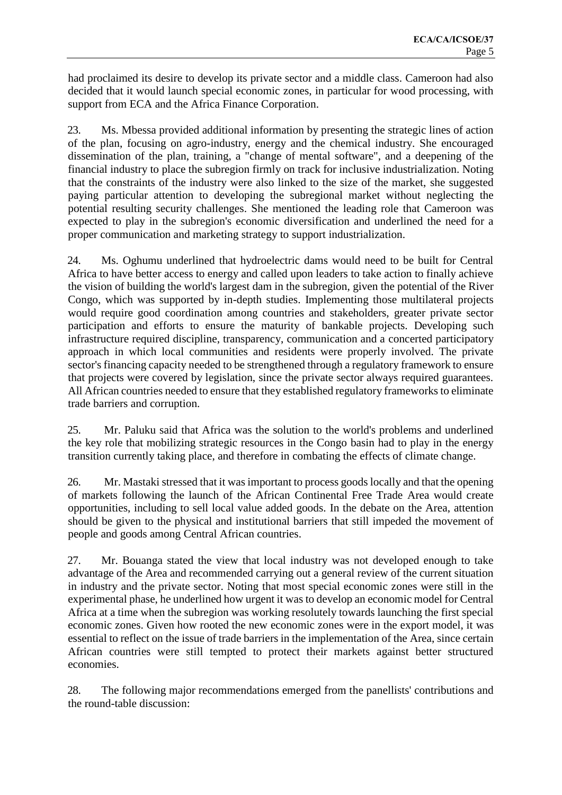had proclaimed its desire to develop its private sector and a middle class. Cameroon had also decided that it would launch special economic zones, in particular for wood processing, with support from ECA and the Africa Finance Corporation.

23. Ms. Mbessa provided additional information by presenting the strategic lines of action of the plan, focusing on agro-industry, energy and the chemical industry. She encouraged dissemination of the plan, training, a "change of mental software", and a deepening of the financial industry to place the subregion firmly on track for inclusive industrialization. Noting that the constraints of the industry were also linked to the size of the market, she suggested paying particular attention to developing the subregional market without neglecting the potential resulting security challenges. She mentioned the leading role that Cameroon was expected to play in the subregion's economic diversification and underlined the need for a proper communication and marketing strategy to support industrialization.

24. Ms. Oghumu underlined that hydroelectric dams would need to be built for Central Africa to have better access to energy and called upon leaders to take action to finally achieve the vision of building the world's largest dam in the subregion, given the potential of the River Congo, which was supported by in-depth studies. Implementing those multilateral projects would require good coordination among countries and stakeholders, greater private sector participation and efforts to ensure the maturity of bankable projects. Developing such infrastructure required discipline, transparency, communication and a concerted participatory approach in which local communities and residents were properly involved. The private sector's financing capacity needed to be strengthened through a regulatory framework to ensure that projects were covered by legislation, since the private sector always required guarantees. All African countries needed to ensure that they established regulatory frameworks to eliminate trade barriers and corruption.

25. Mr. Paluku said that Africa was the solution to the world's problems and underlined the key role that mobilizing strategic resources in the Congo basin had to play in the energy transition currently taking place, and therefore in combating the effects of climate change.

26. Mr. Mastaki stressed that it was important to process goods locally and that the opening of markets following the launch of the African Continental Free Trade Area would create opportunities, including to sell local value added goods. In the debate on the Area, attention should be given to the physical and institutional barriers that still impeded the movement of people and goods among Central African countries.

27. Mr. Bouanga stated the view that local industry was not developed enough to take advantage of the Area and recommended carrying out a general review of the current situation in industry and the private sector. Noting that most special economic zones were still in the experimental phase, he underlined how urgent it was to develop an economic model for Central Africa at a time when the subregion was working resolutely towards launching the first special economic zones. Given how rooted the new economic zones were in the export model, it was essential to reflect on the issue of trade barriers in the implementation of the Area, since certain African countries were still tempted to protect their markets against better structured economies.

28. The following major recommendations emerged from the panellists' contributions and the round-table discussion: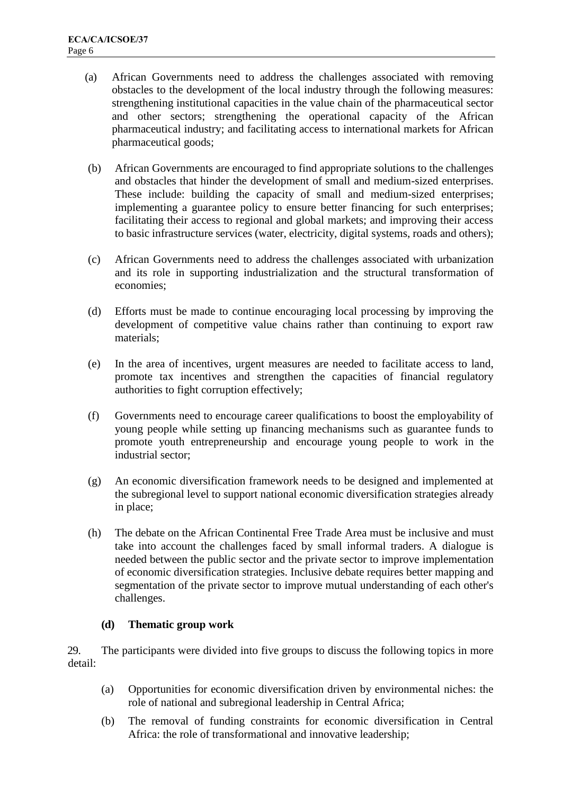- (a) African Governments need to address the challenges associated with removing obstacles to the development of the local industry through the following measures: strengthening institutional capacities in the value chain of the pharmaceutical sector and other sectors; strengthening the operational capacity of the African pharmaceutical industry; and facilitating access to international markets for African pharmaceutical goods;
- (b) African Governments are encouraged to find appropriate solutions to the challenges and obstacles that hinder the development of small and medium-sized enterprises. These include: building the capacity of small and medium-sized enterprises; implementing a guarantee policy to ensure better financing for such enterprises; facilitating their access to regional and global markets; and improving their access to basic infrastructure services (water, electricity, digital systems, roads and others);
- (c) African Governments need to address the challenges associated with urbanization and its role in supporting industrialization and the structural transformation of economies;
- (d) Efforts must be made to continue encouraging local processing by improving the development of competitive value chains rather than continuing to export raw materials;
- (e) In the area of incentives, urgent measures are needed to facilitate access to land, promote tax incentives and strengthen the capacities of financial regulatory authorities to fight corruption effectively;
- (f) Governments need to encourage career qualifications to boost the employability of young people while setting up financing mechanisms such as guarantee funds to promote youth entrepreneurship and encourage young people to work in the industrial sector;
- (g) An economic diversification framework needs to be designed and implemented at the subregional level to support national economic diversification strategies already in place;
- (h) The debate on the African Continental Free Trade Area must be inclusive and must take into account the challenges faced by small informal traders. A dialogue is needed between the public sector and the private sector to improve implementation of economic diversification strategies. Inclusive debate requires better mapping and segmentation of the private sector to improve mutual understanding of each other's challenges.

### **(d) Thematic group work**

29. The participants were divided into five groups to discuss the following topics in more detail:

- (a) Opportunities for economic diversification driven by environmental niches: the role of national and subregional leadership in Central Africa;
- (b) The removal of funding constraints for economic diversification in Central Africa: the role of transformational and innovative leadership;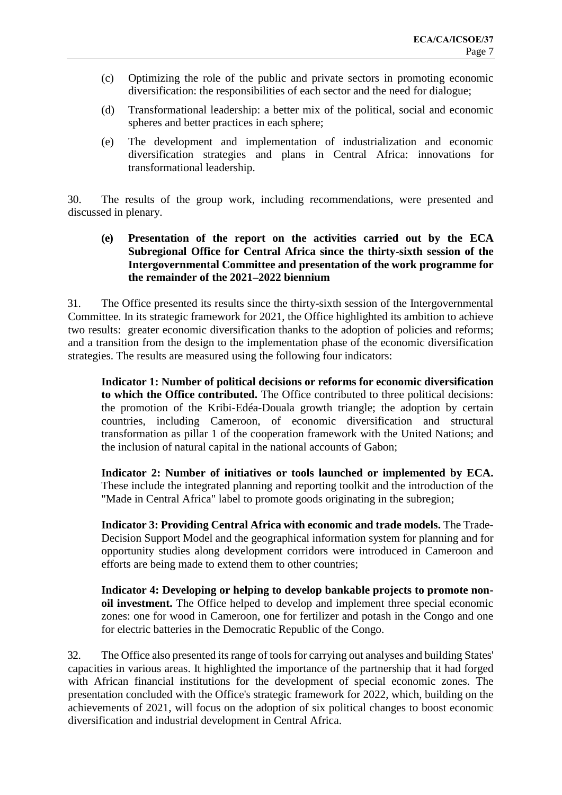- (c) Optimizing the role of the public and private sectors in promoting economic diversification: the responsibilities of each sector and the need for dialogue;
- (d) Transformational leadership: a better mix of the political, social and economic spheres and better practices in each sphere;
- (e) The development and implementation of industrialization and economic diversification strategies and plans in Central Africa: innovations for transformational leadership.

30. The results of the group work, including recommendations, were presented and discussed in plenary.

**(e) Presentation of the report on the activities carried out by the ECA Subregional Office for Central Africa since the thirty-sixth session of the Intergovernmental Committee and presentation of the work programme for the remainder of the 2021–2022 biennium**

31. The Office presented its results since the thirty-sixth session of the Intergovernmental Committee. In its strategic framework for 2021, the Office highlighted its ambition to achieve two results: greater economic diversification thanks to the adoption of policies and reforms; and a transition from the design to the implementation phase of the economic diversification strategies. The results are measured using the following four indicators:

**Indicator 1: Number of political decisions or reforms for economic diversification to which the Office contributed.** The Office contributed to three political decisions: the promotion of the Kribi-Edéa-Douala growth triangle; the adoption by certain countries, including Cameroon, of economic diversification and structural transformation as pillar 1 of the cooperation framework with the United Nations; and the inclusion of natural capital in the national accounts of Gabon;

**Indicator 2: Number of initiatives or tools launched or implemented by ECA.** These include the integrated planning and reporting toolkit and the introduction of the "Made in Central Africa" label to promote goods originating in the subregion;

**Indicator 3: Providing Central Africa with economic and trade models.** The Trade-Decision Support Model and the geographical information system for planning and for opportunity studies along development corridors were introduced in Cameroon and efforts are being made to extend them to other countries;

**Indicator 4: Developing or helping to develop bankable projects to promote nonoil investment.** The Office helped to develop and implement three special economic zones: one for wood in Cameroon, one for fertilizer and potash in the Congo and one for electric batteries in the Democratic Republic of the Congo.

32. The Office also presented its range of tools for carrying out analyses and building States' capacities in various areas. It highlighted the importance of the partnership that it had forged with African financial institutions for the development of special economic zones. The presentation concluded with the Office's strategic framework for 2022, which, building on the achievements of 2021, will focus on the adoption of six political changes to boost economic diversification and industrial development in Central Africa.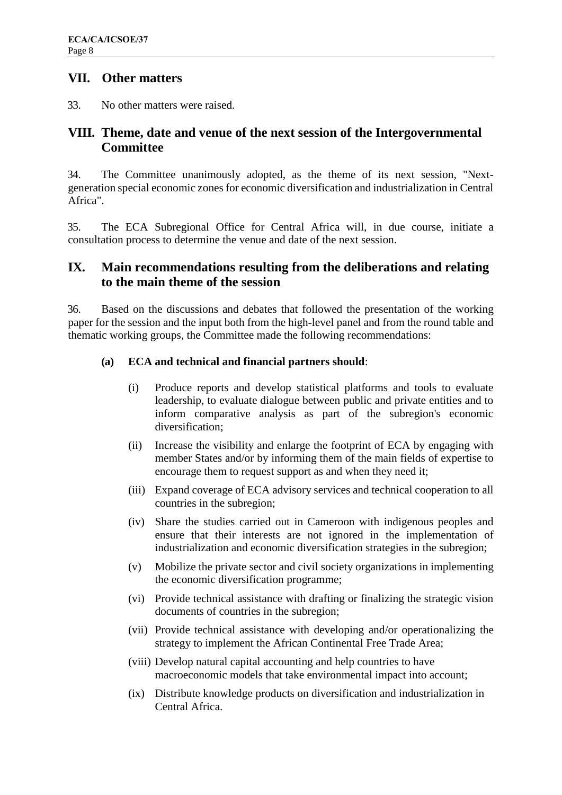## **VII. Other matters**

33. No other matters were raised.

## **VIII. Theme, date and venue of the next session of the Intergovernmental Committee**

34. The Committee unanimously adopted, as the theme of its next session, "Nextgeneration special economic zones for economic diversification and industrialization in Central Africa".

35. The ECA Subregional Office for Central Africa will, in due course, initiate a consultation process to determine the venue and date of the next session.

## **IX. Main recommendations resulting from the deliberations and relating to the main theme of the session**

36. Based on the discussions and debates that followed the presentation of the working paper for the session and the input both from the high-level panel and from the round table and thematic working groups, the Committee made the following recommendations:

### **(a) ECA and technical and financial partners should**:

- (i) Produce reports and develop statistical platforms and tools to evaluate leadership, to evaluate dialogue between public and private entities and to inform comparative analysis as part of the subregion's economic diversification;
- (ii) Increase the visibility and enlarge the footprint of ECA by engaging with member States and/or by informing them of the main fields of expertise to encourage them to request support as and when they need it;
- (iii) Expand coverage of ECA advisory services and technical cooperation to all countries in the subregion;
- (iv) Share the studies carried out in Cameroon with indigenous peoples and ensure that their interests are not ignored in the implementation of industrialization and economic diversification strategies in the subregion;
- (v) Mobilize the private sector and civil society organizations in implementing the economic diversification programme;
- (vi) Provide technical assistance with drafting or finalizing the strategic vision documents of countries in the subregion;
- (vii) Provide technical assistance with developing and/or operationalizing the strategy to implement the African Continental Free Trade Area;
- (viii) Develop natural capital accounting and help countries to have macroeconomic models that take environmental impact into account;
- (ix) Distribute knowledge products on diversification and industrialization in Central Africa.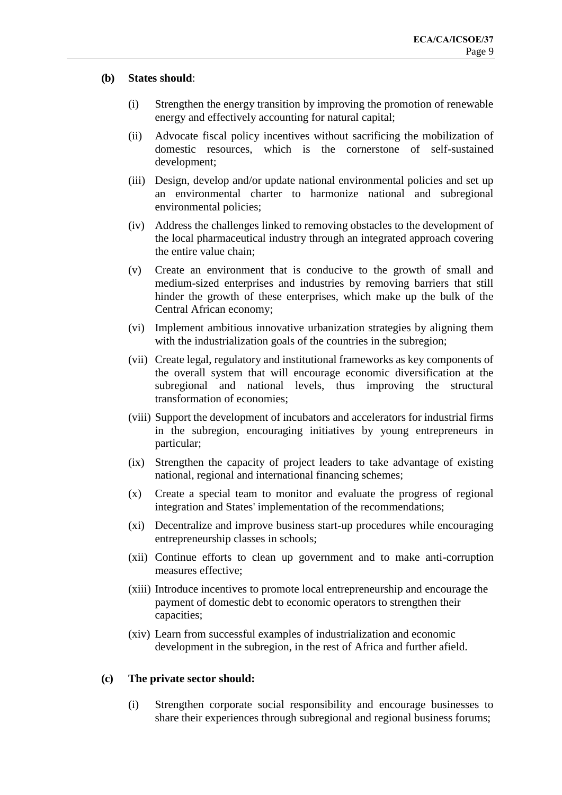#### **(b) States should**:

- (i) Strengthen the energy transition by improving the promotion of renewable energy and effectively accounting for natural capital;
- (ii) Advocate fiscal policy incentives without sacrificing the mobilization of domestic resources, which is the cornerstone of self-sustained development;
- (iii) Design, develop and/or update national environmental policies and set up an environmental charter to harmonize national and subregional environmental policies;
- (iv) Address the challenges linked to removing obstacles to the development of the local pharmaceutical industry through an integrated approach covering the entire value chain;
- (v) Create an environment that is conducive to the growth of small and medium-sized enterprises and industries by removing barriers that still hinder the growth of these enterprises, which make up the bulk of the Central African economy;
- (vi) Implement ambitious innovative urbanization strategies by aligning them with the industrialization goals of the countries in the subregion;
- (vii) Create legal, regulatory and institutional frameworks as key components of the overall system that will encourage economic diversification at the subregional and national levels, thus improving the structural transformation of economies;
- (viii) Support the development of incubators and accelerators for industrial firms in the subregion, encouraging initiatives by young entrepreneurs in particular;
- (ix) Strengthen the capacity of project leaders to take advantage of existing national, regional and international financing schemes;
- (x) Create a special team to monitor and evaluate the progress of regional integration and States' implementation of the recommendations;
- (xi) Decentralize and improve business start-up procedures while encouraging entrepreneurship classes in schools;
- (xii) Continue efforts to clean up government and to make anti-corruption measures effective;
- (xiii) Introduce incentives to promote local entrepreneurship and encourage the payment of domestic debt to economic operators to strengthen their capacities;
- (xiv) Learn from successful examples of industrialization and economic development in the subregion, in the rest of Africa and further afield.

#### **(c) The private sector should:**

(i) Strengthen corporate social responsibility and encourage businesses to share their experiences through subregional and regional business forums;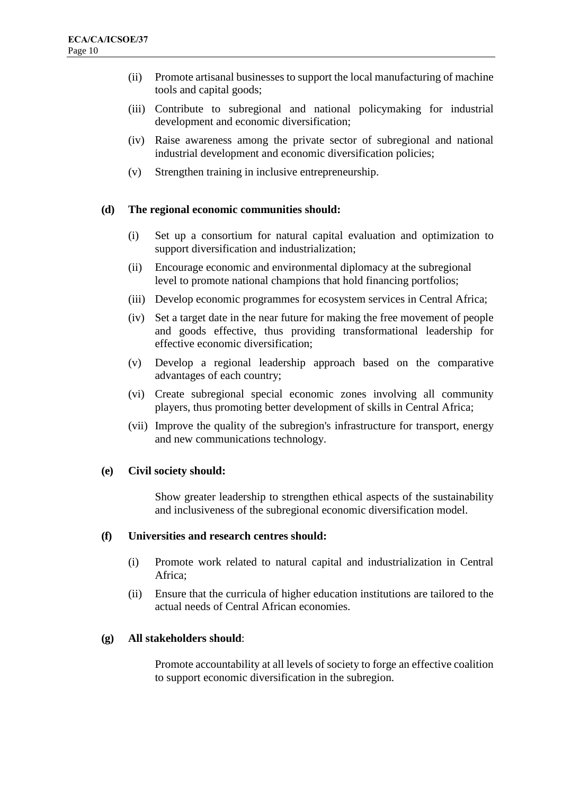- (ii) Promote artisanal businesses to support the local manufacturing of machine tools and capital goods;
- (iii) Contribute to subregional and national policymaking for industrial development and economic diversification;
- (iv) Raise awareness among the private sector of subregional and national industrial development and economic diversification policies;
- (v) Strengthen training in inclusive entrepreneurship.

### **(d) The regional economic communities should:**

- (i) Set up a consortium for natural capital evaluation and optimization to support diversification and industrialization;
- (ii) Encourage economic and environmental diplomacy at the subregional level to promote national champions that hold financing portfolios;
- (iii) Develop economic programmes for ecosystem services in Central Africa;
- (iv) Set a target date in the near future for making the free movement of people and goods effective, thus providing transformational leadership for effective economic diversification;
- (v) Develop a regional leadership approach based on the comparative advantages of each country;
- (vi) Create subregional special economic zones involving all community players, thus promoting better development of skills in Central Africa;
- (vii) Improve the quality of the subregion's infrastructure for transport, energy and new communications technology.

#### **(e) Civil society should:**

Show greater leadership to strengthen ethical aspects of the sustainability and inclusiveness of the subregional economic diversification model.

#### **(f) Universities and research centres should:**

- (i) Promote work related to natural capital and industrialization in Central Africa;
- (ii) Ensure that the curricula of higher education institutions are tailored to the actual needs of Central African economies.

#### **(g) All stakeholders should**:

Promote accountability at all levels of society to forge an effective coalition to support economic diversification in the subregion.